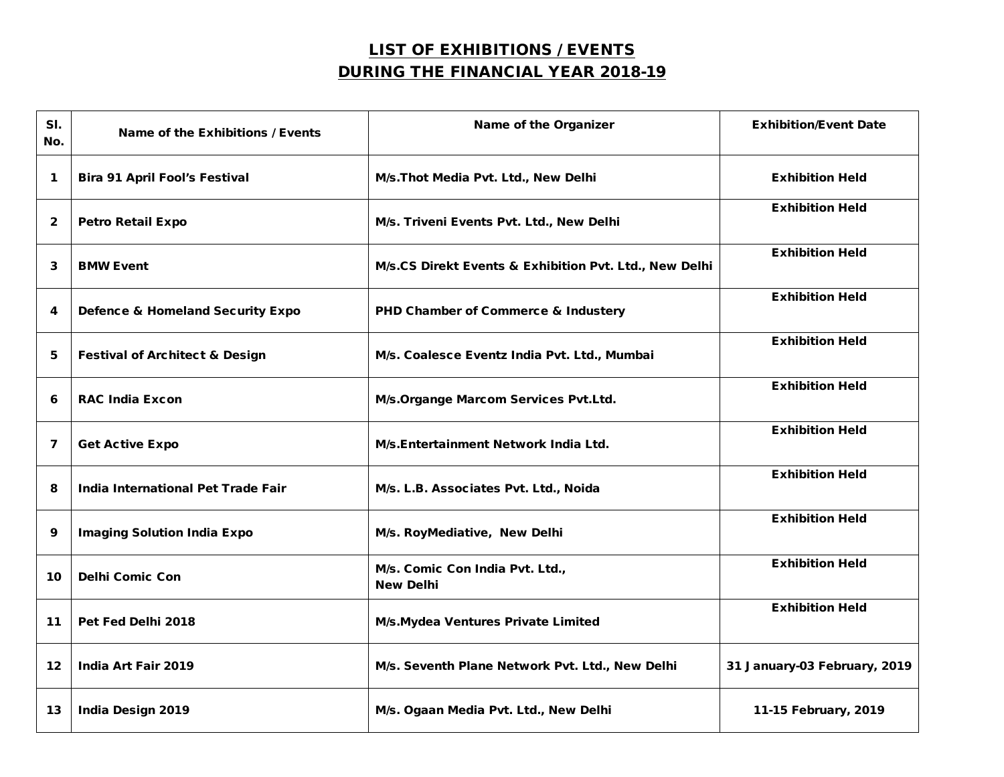## LIST OF EXHIBITIONS / EVENTS DURING THE FINANCIAL YEAR 2018-19

| SI.<br>No.      | Name of the Exhibitions / Events            | Name of the Organizer                                  | <b>Exhibition/Event Date</b> |
|-----------------|---------------------------------------------|--------------------------------------------------------|------------------------------|
| 1               | <b>Bira 91 April Fool's Festival</b>        | M/s. Thot Media Pvt. Ltd., New Delhi                   | <b>Exhibition Held</b>       |
| $\mathbf{2}$    | <b>Petro Retail Expo</b>                    | M/s. Triveni Events Pvt. Ltd., New Delhi               | <b>Exhibition Held</b>       |
| 3               | <b>BMW Event</b>                            | M/s.CS Direkt Events & Exhibition Pvt. Ltd., New Delhi | <b>Exhibition Held</b>       |
| 4               | <b>Defence &amp; Homeland Security Expo</b> | PHD Chamber of Commerce & Industery                    | <b>Exhibition Held</b>       |
| 5               | <b>Festival of Architect &amp; Design</b>   | M/s. Coalesce Eventz India Pvt. Ltd., Mumbai           | <b>Exhibition Held</b>       |
| 6               | <b>RAC India Excon</b>                      | M/s. Organge Marcom Services Pvt. Ltd.                 | <b>Exhibition Held</b>       |
| 7               | <b>Get Active Expo</b>                      | M/s.Entertainment Network India Ltd.                   | <b>Exhibition Held</b>       |
| 8               | India International Pet Trade Fair          | M/s. L.B. Associates Pvt. Ltd., Noida                  | <b>Exhibition Held</b>       |
| 9               | <b>Imaging Solution India Expo</b>          | M/s. RoyMediative, New Delhi                           | <b>Exhibition Held</b>       |
| 10              | <b>Delhi Comic Con</b>                      | M/s. Comic Con India Pvt. Ltd.,<br><b>New Delhi</b>    | <b>Exhibition Held</b>       |
| 11              | Pet Fed Delhi 2018                          | M/s. Mydea Ventures Private Limited                    | <b>Exhibition Held</b>       |
| 12 <sub>1</sub> | India Art Fair 2019                         | M/s. Seventh Plane Network Pvt. Ltd., New Delhi        | 31 January-03 February, 2019 |
| 13              | <b>India Design 2019</b>                    | M/s. Ogaan Media Pvt. Ltd., New Delhi                  | 11-15 February, 2019         |